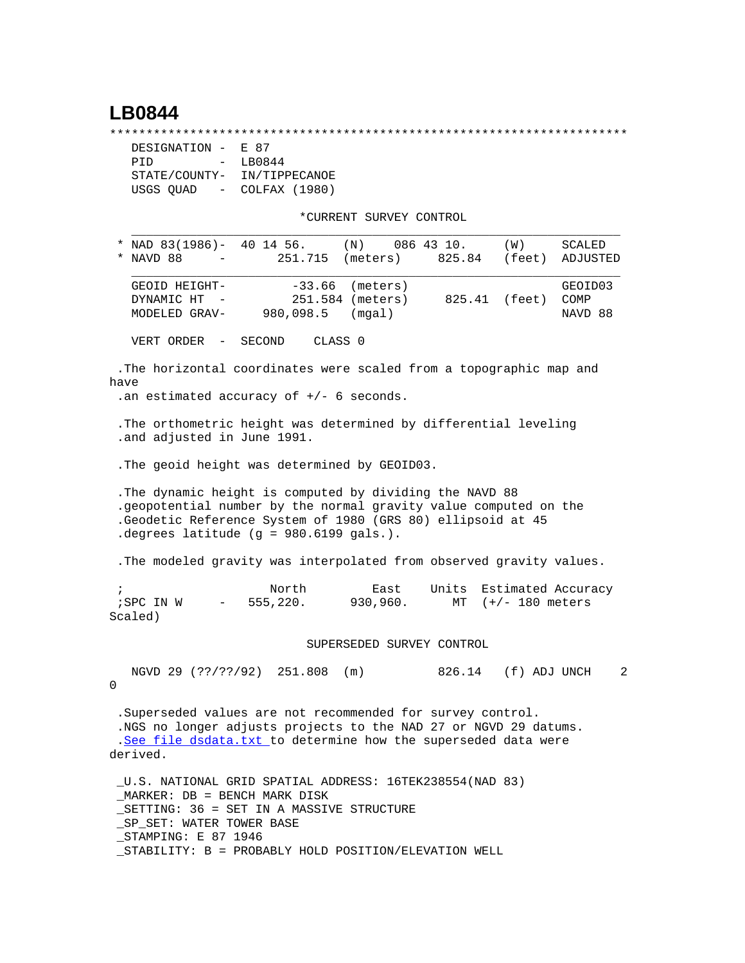## **LB0844**

\*\*\*\*\*\*\*\*\*\*\*\*\*\*\*\*\*\*\*\*\*\*\*\*\*\*\*\*\*\*\*\*\*\*\*\*\*\*\*\*\*\*\*\*\*\*\*\*\*\*\*\*\*\*\*\*\*\*\*\*\*\*\*\*\*\*\*\*\*\*\*

| DESIGNATION -                     | E 87          |
|-----------------------------------|---------------|
| PTD<br>$\sim$                     | LB0844        |
| STATE/COUNTY-                     | IN/TIPPECANOE |
| USGS QUAD<br>$\sim 100$ m $^{-1}$ | COLFAX (1980) |

\*CURRENT SURVEY CONTROL

| * NAD 83(1986)- 40 14 56.<br>(N)<br>086 43 10.                                                                                                                                                                                                   | (W)                                        | SCALED                     |
|--------------------------------------------------------------------------------------------------------------------------------------------------------------------------------------------------------------------------------------------------|--------------------------------------------|----------------------------|
| NAVD 88<br>251.715 (meters)                                                                                                                                                                                                                      | 825.84<br>(feet)                           | ADJUSTED                   |
| $-33.66$<br>GEOID HEIGHT-<br>(meters)<br>251.584 (meters)<br>DYNAMIC HT<br>980,098.5<br>(mqal)<br>MODELED GRAV-                                                                                                                                  | 825.41 (feet)                              | GEOID03<br>COMP<br>NAVD 88 |
| CLASS 0<br>VERT ORDER<br>SECOND<br>$\sim$ $-$                                                                                                                                                                                                    |                                            |                            |
| The horizontal coordinates were scaled from a topographic map and<br>have<br>.an estimated accuracy of $+/-$ 6 seconds.                                                                                                                          |                                            |                            |
| . The orthometric height was determined by differential leveling<br>.and adjusted in June 1991.                                                                                                                                                  |                                            |                            |
| . The geoid height was determined by GEOID03.                                                                                                                                                                                                    |                                            |                            |
| . The dynamic height is computed by dividing the NAVD 88<br>.geopotential number by the normal gravity value computed on the<br>.Geodetic Reference System of 1980 (GRS 80) ellipsoid at 45<br>. degrees latitude $(g = 980.6199$ gals.).        |                                            |                            |
| . The modeled gravity was interpolated from observed gravity values.                                                                                                                                                                             |                                            |                            |
| North<br>East<br>Units<br>$\ddot{i}$<br>555,220.<br>930,960.<br>;SPC IN W<br>$\overline{\phantom{m}}$<br>Scaled)                                                                                                                                 | Estimated Accuracy<br>MT $(+/- 180$ meters |                            |
| SUPERSEDED SURVEY CONTROL                                                                                                                                                                                                                        |                                            |                            |
| NGVD 29 (??/??/92) 251.808 (m)<br>0                                                                                                                                                                                                              | 826.14 (f) ADJ UNCH                        | 2                          |
| . Superseded values are not recommended for survey control.<br>.NGS no longer adjusts projects to the NAD 27 or NGVD 29 datums.<br>.See file dsdata.txt to determine how the superseded data were<br>derived.                                    |                                            |                            |
| _U.S. NATIONAL GRID SPATIAL ADDRESS: 16TEK238554(NAD 83)<br>MARKER: DB = BENCH MARK DISK<br>_SETTING: 36 = SET IN A MASSIVE STRUCTURE<br>SP SET: WATER TOWER BASE<br>STAMPING: E 87 1946<br>STABILITY: B = PROBABLY HOLD POSITION/ELEVATION WELL |                                            |                            |